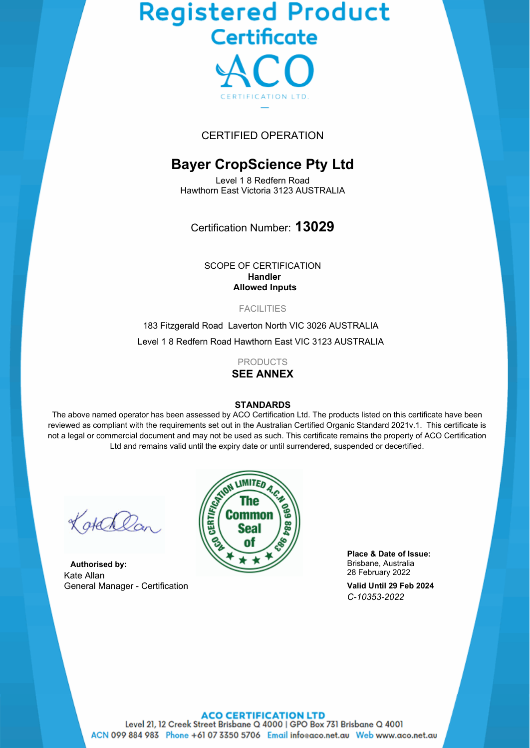# **Registered Product**<br>Certificate



## CERTIFIED OPERATION

# **Bayer CropScience Pty Ltd**

Level 1 8 Redfern Road Hawthorn East Victoria 3123 AUSTRALIA

Certification Number: **13029**

SCOPE OF CERTIFICATION **Handler Allowed Inputs**

#### **FACILITIES**

183 Fitzgerald Road Laverton North VIC 3026 AUSTRALIA Level 1 8 Redfern Road Hawthorn East VIC 3123 AUSTRALIA

> PRODUCTS **SEE ANNEX**

#### **STANDARDS**

The above named operator has been assessed by ACO Certification Ltd. The products listed on this certificate have been reviewed as compliant with the requirements set out in the Australian Certified Organic Standard 2021v.1. This certificate is not a legal or commercial document and may not be used as such. This certificate remains the property of ACO Certification Ltd and remains valid until the expiry date or until surrendered, suspended or decertified.

Kotalla

**Authorised by:** Kate Allan General Manager - Certification



**Place & Date of Issue:** Brisbane, Australia 28 February 2022

**Valid Until 29 Feb 2024** *C-10353-2022*

#### **ACO CERTIFICATION LTD**

Level 21, 12 Creek Street Brisbane Q 4000 | GPO Box 731 Brisbane Q 4001 ACN 099 884 983 Phone +61 07 3350 5706 Email infoeaco.net.au Web www.aco.net.au